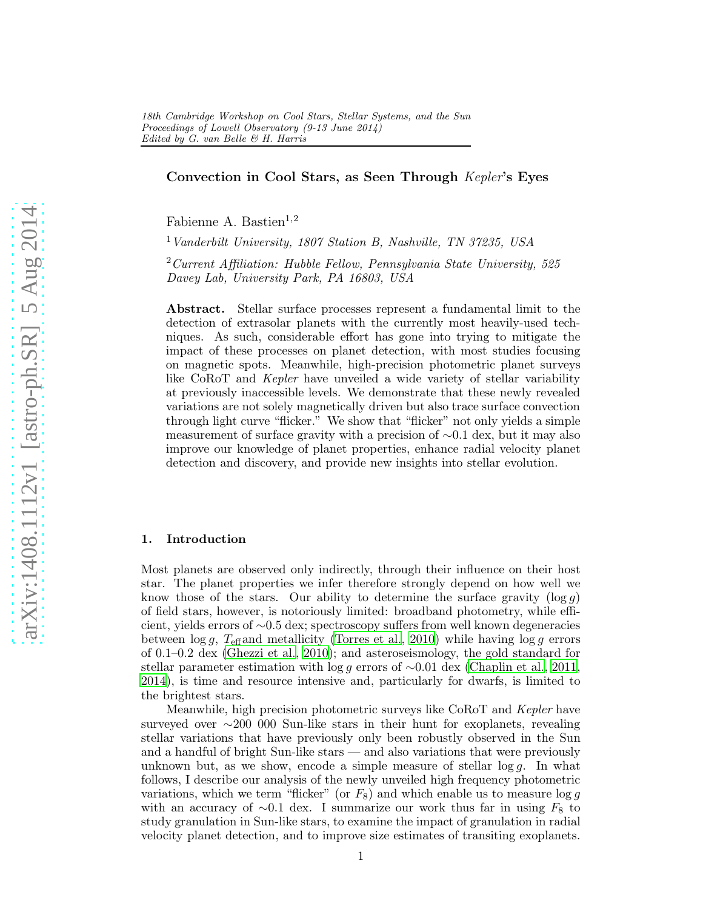# Convection in Cool Stars, as Seen Through Kepler's Eyes

Fabienne A. Bastien $^{1,2}$ 

<sup>1</sup> Vanderbilt University, 1807 Station B, Nashville, TN 37235, USA

 $2$ Current Affiliation: Hubble Fellow, Pennsylvania State University, 525 Davey Lab, University Park, PA 16803, USA

Abstract. Stellar surface processes represent a fundamental limit to the detection of extrasolar planets with the currently most heavily-used techniques. As such, considerable effort has gone into trying to mitigate the impact of these processes on planet detection, with most studies focusing on magnetic spots. Meanwhile, high-precision photometric planet surveys like CoRoT and Kepler have unveiled a wide variety of stellar variability at previously inaccessible levels. We demonstrate that these newly revealed variations are not solely magnetically driven but also trace surface convection through light curve "flicker." We show that "flicker" not only yields a simple measurement of surface gravity with a precision of ∼0.1 dex, but it may also improve our knowledge of planet properties, enhance radial velocity planet detection and discovery, and provide new insights into stellar evolution.

#### 1. Introduction

Most planets are observed only indirectly, through their influence on their host star. The planet properties we infer therefore strongly depend on how well we know those of the stars. Our ability to determine the surface gravity  $(\log g)$ of field stars, however, is notoriously limited: broadband photometry, while efficient, yields errors of ∼0.5 dex; spectroscopy suffers from well known degeneracies between  $\log g$ ,  $T_{\text{eff}}$  and metallicity [\(Torres et al., 2010\)](#page-6-0) while having  $\log g$  errors of 0.1–0.2 dex [\(Ghezzi et al., 2010](#page-6-1)); and asteroseismology, the gold standard for stellar parameter estimation with log g errors of  $\sim$ 0.01 dex [\(Chaplin et al.](#page-6-2), [2011](#page-6-2), [2014\)](#page-6-3), is time and resource intensive and, particularly for dwarfs, is limited to the brightest stars.

Meanwhile, high precision photometric surveys like CoRoT and Kepler have surveyed over ∼200 000 Sun-like stars in their hunt for exoplanets, revealing stellar variations that have previously only been robustly observed in the Sun and a handful of bright Sun-like stars — and also variations that were previously unknown but, as we show, encode a simple measure of stellar  $\log q$ . In what follows, I describe our analysis of the newly unveiled high frequency photometric variations, which we term "flicker" (or  $F_8$ ) and which enable us to measure  $\log g$ with an accuracy of  $\sim 0.1$  dex. I summarize our work thus far in using  $F_8$  to study granulation in Sun-like stars, to examine the impact of granulation in radial velocity planet detection, and to improve size estimates of transiting exoplanets.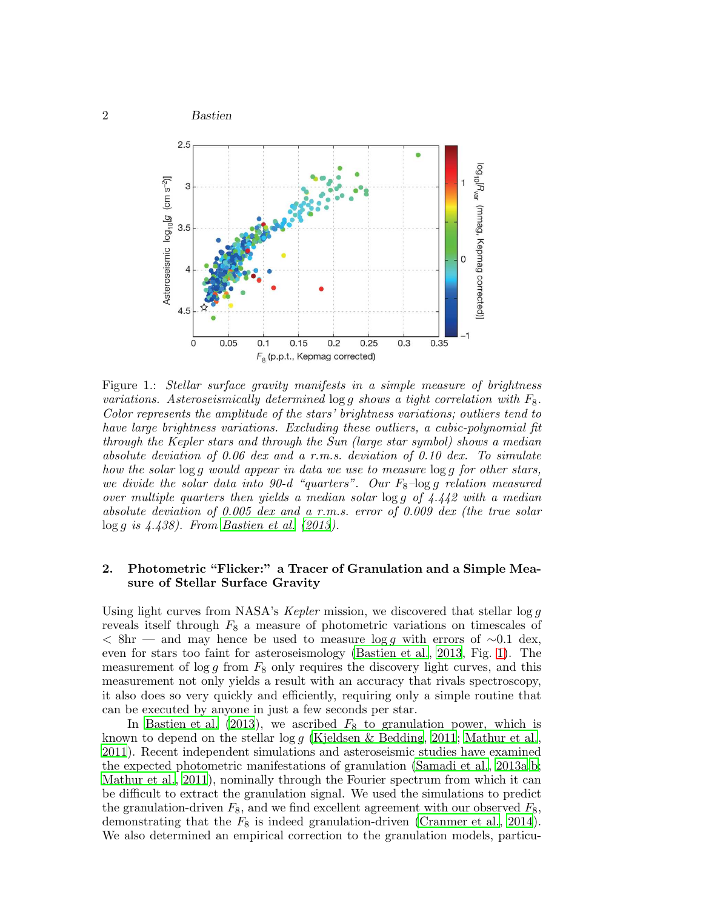

<span id="page-1-0"></span>Figure 1.: Stellar surface gravity manifests in a simple measure of brightness variations. Asteroseismically determined  $\log q$  shows a tight correlation with  $F_8$ . Color represents the amplitude of the stars' brightness variations; outliers tend to have large brightness variations. Excluding these outliers, a cubic-polynomial fit through the Kepler stars and through the Sun (large star symbol) shows a median absolute deviation of 0.06 dex and a r.m.s. deviation of 0.10 dex. To simulate how the solar log g would appear in data we use to measure log g for other stars, we divide the solar data into  $90-d$  "quarters". Our  $F_8$ -log g relation measured over multiple quarters then yields a median solar  $\log g$  of 4.442 with a median absolute deviation of 0.005 dex and a r.m.s. error of 0.009 dex (the true solar  $\log g$  is 4.438). From [Bastien et al. \(2013\)](#page-5-0).

# 2. Photometric "Flicker:" a Tracer of Granulation and a Simple Measure of Stellar Surface Gravity

Using light curves from NASA's *Kepler* mission, we discovered that stellar  $\log g$ reveals itself through  $F_8$  a measure of photometric variations on timescales of  $\langle$  8hr — and may hence be used to measure log g with errors of  $\sim$ 0.1 dex, even for stars too faint for asteroseismology [\(Bastien et al.](#page-5-0), [2013](#page-5-0), Fig. [1\)](#page-1-0). The measurement of  $\log g$  from  $F_8$  only requires the discovery light curves, and this measurement not only yields a result with an accuracy that rivals spectroscopy, it also does so very quickly and efficiently, requiring only a simple routine that can be executed by anyone in just a few seconds per star.

In [Bastien et al. \(2013](#page-5-0)), we ascribed  $F_8$  to granulation power, which is known to depend on the stellar  $\log g$  [\(Kjeldsen & Bedding](#page-6-4), [2011](#page-6-4); [Mathur et al.](#page-6-5), [2011\)](#page-6-5). Recent independent simulations and asteroseismic studies have examined the expected photometric manifestations of granulation [\(Samadi et al.](#page-6-6), [2013a](#page-6-6)[,b;](#page-6-7) [Mathur et al., 2011](#page-6-5)), nominally through the Fourier spectrum from which it can be difficult to extract the granulation signal. We used the simulations to predict the granulation-driven  $F_8$ , and we find excellent agreement with our observed  $F_8$ , demonstrating that the  $F_8$  is indeed granulation-driven [\(Cranmer et al.](#page-6-8), [2014](#page-6-8)). We also determined an empirical correction to the granulation models, particu-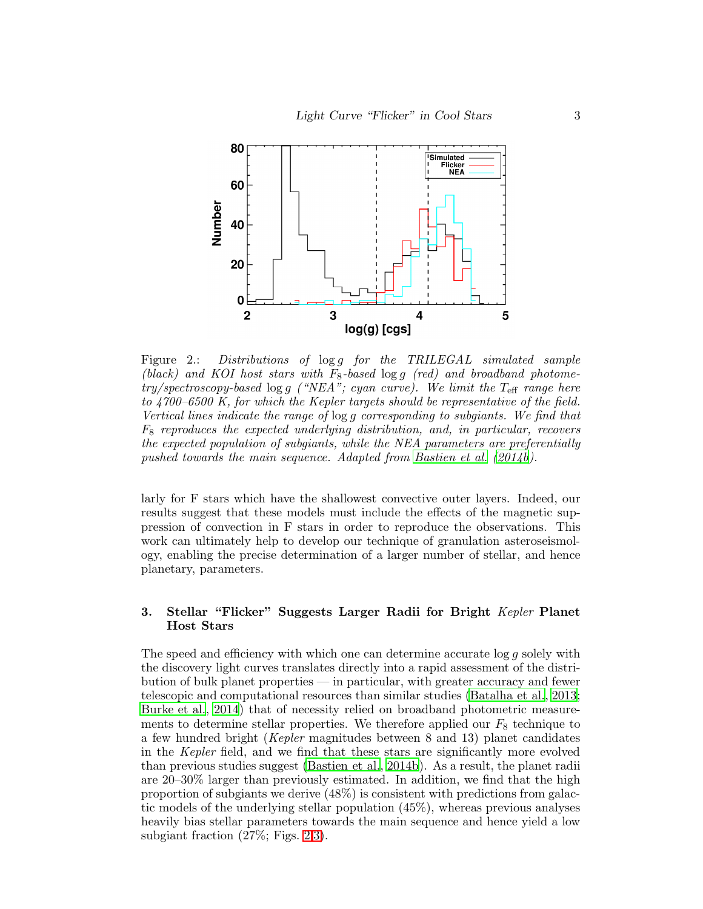

<span id="page-2-0"></span>Figure 2.: Distributions of  $\log g$  for the TRILEGAL simulated sample (black) and KOI host stars with  $F_8$ -based  $\log g$  (red) and broadband photome $try/spectroscopy-based log g$  ("NEA"; cyan curve). We limit the T<sub>eff</sub> range here to 4700–6500 K, for which the Kepler targets should be representative of the field. Vertical lines indicate the range of log g corresponding to subgiants. We find that  $F_8$  reproduces the expected underlying distribution, and, in particular, recovers the expected population of subgiants, while the NEA parameters are preferentially pushed towards the main sequence. Adapted from [Bastien et al. \(2014b](#page-5-1)).

larly for F stars which have the shallowest convective outer layers. Indeed, our results suggest that these models must include the effects of the magnetic suppression of convection in F stars in order to reproduce the observations. This work can ultimately help to develop our technique of granulation asteroseismology, enabling the precise determination of a larger number of stellar, and hence planetary, parameters.

## 3. Stellar "Flicker" Suggests Larger Radii for Bright Kepler Planet Host Stars

The speed and efficiency with which one can determine accurate  $\log q$  solely with the discovery light curves translates directly into a rapid assessment of the distribution of bulk planet properties — in particular, with greater accuracy and fewer telescopic and computational resources than similar studies [\(Batalha et al., 2013](#page-5-2); [Burke et al.](#page-6-9), [2014](#page-6-9)) that of necessity relied on broadband photometric measurements to determine stellar properties. We therefore applied our  $F_8$  technique to a few hundred bright (Kepler magnitudes between 8 and 13) planet candidates in the Kepler field, and we find that these stars are significantly more evolved than previous studies suggest [\(Bastien et al.](#page-5-1), [2014b](#page-5-1)). As a result, the planet radii are 20–30% larger than previously estimated. In addition, we find that the high proportion of subgiants we derive (48%) is consistent with predictions from galactic models of the underlying stellar population (45%), whereas previous analyses heavily bias stellar parameters towards the main sequence and hence yield a low subgiant fraction (27%; Figs. [2](#page-2-0)[,3\)](#page-3-0).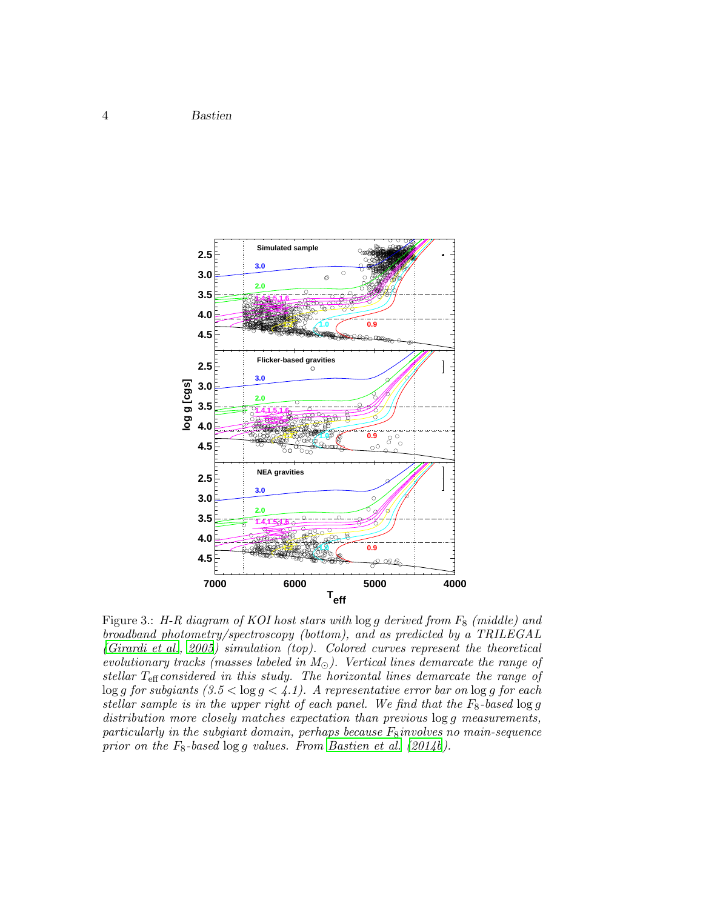

<span id="page-3-0"></span>Figure 3.: H-R diagram of KOI host stars with  $\log g$  derived from  $F_8$  (middle) and broadband photometry/spectroscopy (bottom), and as predicted by a TRILEGAL [\(Girardi et al., 2005](#page-6-10)) simulation (top). Colored curves represent the theoretical evolutionary tracks (masses labeled in  $M_{\odot}$ ). Vertical lines demarcate the range of stellar  $T_{\text{eff}}$  considered in this study. The horizontal lines demarcate the range of  $\log g$  for subgiants  $(3.5 < \log g < 4.1)$ . A representative error bar on  $\log g$  for each stellar sample is in the upper right of each panel. We find that the  $F_8$ -based  $\log g$ distribution more closely matches expectation than previous  $log\ g$  measurements, particularly in the subgiant domain, perhaps because  $F_8$  involves no main-sequence prior on the  $F_8$ -based  $\log g$  values. From [Bastien et al. \(2014b](#page-5-1)).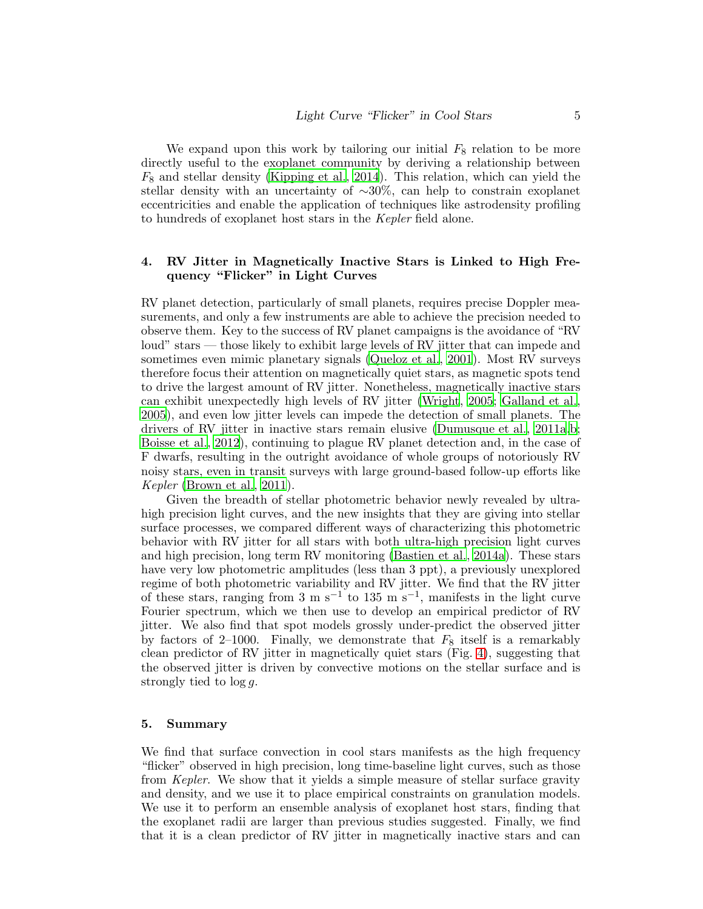We expand upon this work by tailoring our initial  $F_8$  relation to be more directly useful to the exoplanet community by deriving a relationship between  $F_8$  and stellar density [\(Kipping et al.](#page-6-11), [2014](#page-6-11)). This relation, which can yield the stellar density with an uncertainty of ∼30%, can help to constrain exoplanet eccentricities and enable the application of techniques like astrodensity profiling to hundreds of exoplanet host stars in the Kepler field alone.

### 4. RV Jitter in Magnetically Inactive Stars is Linked to High Frequency "Flicker" in Light Curves

RV planet detection, particularly of small planets, requires precise Doppler measurements, and only a few instruments are able to achieve the precision needed to observe them. Key to the success of RV planet campaigns is the avoidance of "RV loud" stars — those likely to exhibit large levels of RV jitter that can impede and sometimes even mimic planetary signals [\(Queloz et al.](#page-6-12), [2001](#page-6-12)). Most RV surveys therefore focus their attention on magnetically quiet stars, as magnetic spots tend to drive the largest amount of RV jitter. Nonetheless, magnetically inactive stars can exhibit unexpectedly high levels of RV jitter [\(Wright](#page-6-13), [2005;](#page-6-13) [Galland et al.,](#page-6-14) [2005\)](#page-6-14), and even low jitter levels can impede the detection of small planets. The drivers of RV jitter in inactive stars remain elusive [\(Dumusque et al., 2011a](#page-6-15)[,b;](#page-6-16) [Boisse et al.](#page-5-3), [2012\)](#page-5-3), continuing to plague RV planet detection and, in the case of F dwarfs, resulting in the outright avoidance of whole groups of notoriously RV noisy stars, even in transit surveys with large ground-based follow-up efforts like Kepler [\(Brown et al.](#page-5-4), [2011](#page-5-4)).

Given the breadth of stellar photometric behavior newly revealed by ultrahigh precision light curves, and the new insights that they are giving into stellar surface processes, we compared different ways of characterizing this photometric behavior with RV jitter for all stars with both ultra-high precision light curves and high precision, long term RV monitoring [\(Bastien et al.](#page-5-5), [2014a\)](#page-5-5). These stars have very low photometric amplitudes (less than 3 ppt), a previously unexplored regime of both photometric variability and RV jitter. We find that the RV jitter of these stars, ranging from 3 m s<sup>-1</sup> to 135 m s<sup>-1</sup>, manifests in the light curve Fourier spectrum, which we then use to develop an empirical predictor of RV jitter. We also find that spot models grossly under-predict the observed jitter by factors of 2–1000. Finally, we demonstrate that  $F_8$  itself is a remarkably clean predictor of RV jitter in magnetically quiet stars (Fig. [4\)](#page-5-6), suggesting that the observed jitter is driven by convective motions on the stellar surface and is strongly tied to  $\log q$ .

### 5. Summary

We find that surface convection in cool stars manifests as the high frequency "flicker" observed in high precision, long time-baseline light curves, such as those from Kepler. We show that it yields a simple measure of stellar surface gravity and density, and we use it to place empirical constraints on granulation models. We use it to perform an ensemble analysis of exoplanet host stars, finding that the exoplanet radii are larger than previous studies suggested. Finally, we find that it is a clean predictor of RV jitter in magnetically inactive stars and can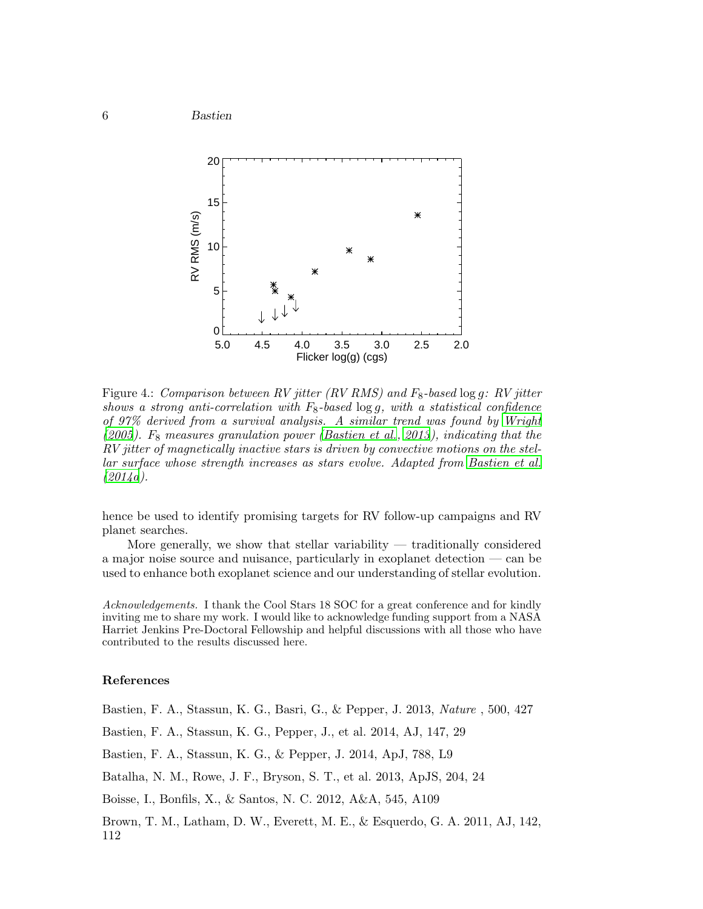

<span id="page-5-6"></span>Figure 4.: Comparison between RV jitter (RV RMS) and  $F_8$ -based log g: RV jitter shows a strong anti-correlation with  $F_8$ -based logg, with a statistical confidence of 97% derived from a survival analysis. A similar trend was found by [Wright](#page-6-13) [\(2005\)](#page-6-13).  $F_8$  measures granulation power [\(Bastien et al., 2013](#page-5-0)), indicating that the RV jitter of magnetically inactive stars is driven by convective motions on the stellar surface whose strength increases as stars evolve. Adapted from [Bastien et al.](#page-5-5)  $(2014a).$  $(2014a).$ 

hence be used to identify promising targets for RV follow-up campaigns and RV planet searches.

More generally, we show that stellar variability  $-$  traditionally considered a major noise source and nuisance, particularly in exoplanet detection — can be used to enhance both exoplanet science and our understanding of stellar evolution.

Acknowledgements. I thank the Cool Stars 18 SOC for a great conference and for kindly inviting me to share my work. I would like to acknowledge funding support from a NASA Harriet Jenkins Pre-Doctoral Fellowship and helpful discussions with all those who have contributed to the results discussed here.

### References

<span id="page-5-0"></span>Bastien, F. A., Stassun, K. G., Basri, G., & Pepper, J. 2013, Nature , 500, 427

<span id="page-5-5"></span>Bastien, F. A., Stassun, K. G., Pepper, J., et al. 2014, AJ, 147, 29

<span id="page-5-1"></span>Bastien, F. A., Stassun, K. G., & Pepper, J. 2014, ApJ, 788, L9

<span id="page-5-2"></span>Batalha, N. M., Rowe, J. F., Bryson, S. T., et al. 2013, ApJS, 204, 24

<span id="page-5-3"></span>Boisse, I., Bonfils, X., & Santos, N. C. 2012, A&A, 545, A109

<span id="page-5-4"></span>Brown, T. M., Latham, D. W., Everett, M. E., & Esquerdo, G. A. 2011, AJ, 142, 112